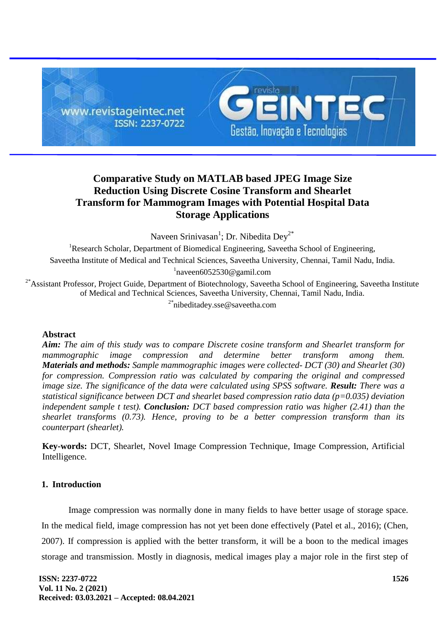

# **Comparative Study on MATLAB based JPEG Image Size Reduction Using Discrete Cosine Transform and Shearlet Transform for Mammogram Images with Potential Hospital Data Storage Applications**

Naveen Srinivasan<sup>1</sup>; Dr. Nibedita Dey<sup>2\*</sup>

<sup>1</sup>Research Scholar, Department of Biomedical Engineering, Saveetha School of Engineering, Saveetha Institute of Medical and Technical Sciences, Saveetha University, Chennai, Tamil Nadu, India. 1 naveen6052530@gamil.com

<sup>2\*</sup>Assistant Professor, Project Guide, Department of Biotechnology, Saveetha School of Engineering, Saveetha Institute of Medical and Technical Sciences, Saveetha University, Chennai, Tamil Nadu, India. <sup>2\*</sup>nibeditadey.sse@saveetha.com

## **Abstract**

*Aim: The aim of this study was to compare Discrete cosine transform and Shearlet transform for mammographic image compression and determine better transform among them. Materials and methods: Sample mammographic images were collected- DCT (30) and Shearlet (30) for compression. Compression ratio was calculated by comparing the original and compressed image size. The significance of the data were calculated using SPSS software. Result: There was a statistical significance between DCT and shearlet based compression ratio data (p=0.035) deviation independent sample t test). Conclusion: DCT based compression ratio was higher (2.41) than the shearlet transforms (0.73). Hence, proving to be a better compression transform than its counterpart (shearlet).*

**Key-words:** DCT, Shearlet, Novel Image Compression Technique, Image Compression, Artificial Intelligence.

## **1. Introduction**

Image compression was normally done in many fields to have better usage of storage space. In the medical field, image compression has not yet been done effectively (Patel et al., 2016); (Chen, 2007). If compression is applied with the better transform, it will be a boon to the medical images storage and transmission. Mostly in diagnosis, medical images play a major role in the first step of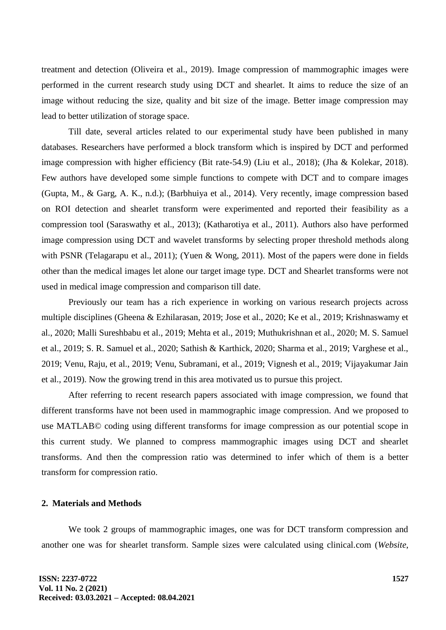treatment and detection (Oliveira et al., 2019). Image compression of mammographic images were performed in the current research study using DCT and shearlet. It aims to reduce the size of an image without reducing the size, quality and bit size of the image. Better image compression may lead to better utilization of storage space.

Till date, several articles related to our experimental study have been published in many databases. Researchers have performed a block transform which is inspired by DCT and performed image compression with higher efficiency (Bit rate-54.9) (Liu et al., 2018); (Jha & Kolekar, 2018). Few authors have developed some simple functions to compete with DCT and to compare images (Gupta, M., & Garg, A. K., n.d.); (Barbhuiya et al., 2014). Very recently, image compression based on ROI detection and shearlet transform were experimented and reported their feasibility as a compression tool (Saraswathy et al., 2013); (Katharotiya et al., 2011). Authors also have performed image compression using DCT and wavelet transforms by selecting proper threshold methods along with PSNR (Telagarapu et al., 2011); (Yuen & Wong, 2011). Most of the papers were done in fields other than the medical images let alone our target image type. DCT and Shearlet transforms were not used in medical image compression and comparison till date.

Previously our team has a rich experience in working on various research projects across multiple disciplines (Gheena & Ezhilarasan, 2019; Jose et al., 2020; Ke et al., 2019; Krishnaswamy et al., 2020; Malli Sureshbabu et al., 2019; Mehta et al., 2019; Muthukrishnan et al., 2020; M. S. Samuel et al., 2019; S. R. Samuel et al., 2020; Sathish & Karthick, 2020; Sharma et al., 2019; Varghese et al., 2019; Venu, Raju, et al., 2019; Venu, Subramani, et al., 2019; Vignesh et al., 2019; Vijayakumar Jain et al., 2019). Now the growing trend in this area motivated us to pursue this project.

After referring to recent research papers associated with image compression, we found that different transforms have not been used in mammographic image compression. And we proposed to use MATLAB© coding using different transforms for image compression as our potential scope in this current study. We planned to compress mammographic images using DCT and shearlet transforms. And then the compression ratio was determined to infer which of them is a better transform for compression ratio.

# **2. Materials and Methods**

We took 2 groups of mammographic images, one was for DCT transform compression and another one was for shearlet transform. Sample sizes were calculated using clinical.com (*Website*,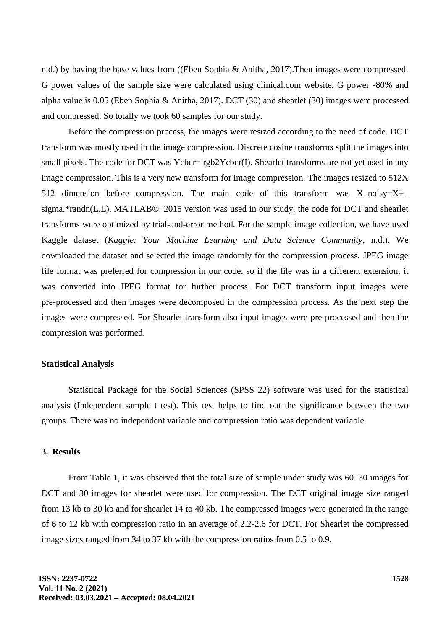n.d.) by having the base values from ((Eben Sophia & Anitha, 2017).Then images were compressed. G power values of the sample size were calculated using clinical.com website, G power -80% and alpha value is 0.05 (Eben Sophia & Anitha, 2017). DCT (30) and shearlet (30) images were processed and compressed. So totally we took 60 samples for our study.

Before the compression process, the images were resized according to the need of code. DCT transform was mostly used in the image compression. Discrete cosine transforms split the images into small pixels. The code for DCT was Ycbcr= rgb2Ycbcr(I). Shearlet transforms are not yet used in any image compression. This is a very new transform for image compression. The images resized to 512X 512 dimension before compression. The main code of this transform was  $X_{noisy}=X_{+}$ sigma.\*randn(L,L). MATLAB©. 2015 version was used in our study, the code for DCT and shearlet transforms were optimized by trial-and-error method. For the sample image collection, we have used Kaggle dataset (*Kaggle: Your Machine Learning and Data Science Community*, n.d.). We downloaded the dataset and selected the image randomly for the compression process. JPEG image file format was preferred for compression in our code, so if the file was in a different extension, it was converted into JPEG format for further process. For DCT transform input images were pre-processed and then images were decomposed in the compression process. As the next step the images were compressed. For Shearlet transform also input images were pre-processed and then the compression was performed.

#### **Statistical Analysis**

Statistical Package for the Social Sciences (SPSS 22) software was used for the statistical analysis (Independent sample t test). This test helps to find out the significance between the two groups. There was no independent variable and compression ratio was dependent variable.

#### **3. Results**

From Table 1, it was observed that the total size of sample under study was 60. 30 images for DCT and 30 images for shearlet were used for compression. The DCT original image size ranged from 13 kb to 30 kb and for shearlet 14 to 40 kb. The compressed images were generated in the range of 6 to 12 kb with compression ratio in an average of 2.2-2.6 for DCT. For Shearlet the compressed image sizes ranged from 34 to 37 kb with the compression ratios from 0.5 to 0.9.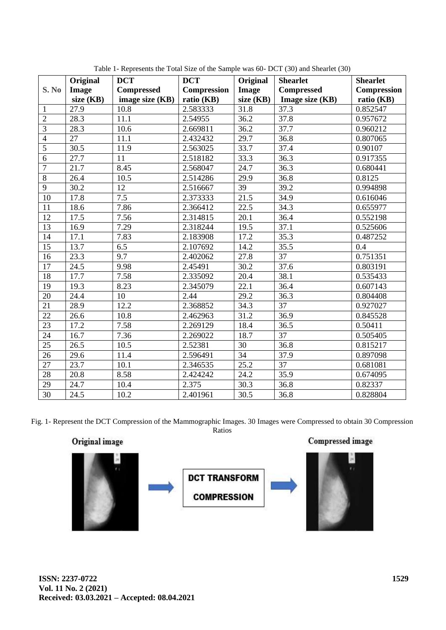|                 | <b>DCT</b><br>Original |                   | <b>DCT</b>            | Original  | <b>Shearlet</b>   | <b>Shearlet</b> |  |
|-----------------|------------------------|-------------------|-----------------------|-----------|-------------------|-----------------|--|
| S. No           | Image                  | <b>Compressed</b> | <b>Compression</b>    | Image     | <b>Compressed</b> | Compression     |  |
|                 | size $(KB)$            | image size (KB)   | ratio (KB)            | size (KB) | Image size (KB)   | ratio (KB)      |  |
| $\mathbf{1}$    | 27.9                   | 10.8              | 2.583333              | 31.8      | 37.3              | 0.852547        |  |
| $\overline{2}$  | 28.3                   | 11.1              | 2.54955               | 36.2      | 37.8              | 0.957672        |  |
| $\overline{3}$  | 28.3                   | 10.6              | 2.669811              | 36.2      | 37.7              | 0.960212        |  |
| $\overline{4}$  | 27                     | 11.1              | 2.432432              | 29.7      | 36.8              | 0.807065        |  |
| $\overline{5}$  | 30.5                   | 11.9              | 2.563025              | 33.7      | 37.4              | 0.90107         |  |
| 6               | 27.7                   | 11                | 2.518182              | 33.3      | 36.3              | 0.917355        |  |
| $\overline{7}$  | 21.7                   | 8.45              | 2.568047              | 24.7      | 36.3              | 0.680441        |  |
| $\overline{8}$  | 26.4                   | 10.5              | 2.514286              | 29.9      | 36.8              | 0.8125          |  |
| $\overline{9}$  | 30.2                   | 12                | 2.516667              | 39        | 39.2              | 0.994898        |  |
| 10              | 17.8                   | 7.5               | 2.373333              | 21.5      | 34.9              | 0.616046        |  |
| 11              | 18.6                   | 7.86              | 2.366412              | 22.5      | 34.3              | 0.655977        |  |
| 12              | 17.5                   | 7.56              | $2.31481\overline{5}$ | 20.1      | 36.4              | 0.552198        |  |
| 13              | 16.9                   | 7.29              | 2.318244              | 19.5      | 37.1              | 0.525606        |  |
| 14              | 17.1                   | 7.83              | 2.183908              | 17.2      | 35.3              | 0.487252        |  |
| 15              | 13.7                   | 6.5               | 2.107692              | 14.2      | 35.5              | 0.4             |  |
| 16              | 23.3                   | 9.7               | 2.402062              | 27.8      | 37                | 0.751351        |  |
| 17              | 24.5                   | 9.98              | 2.45491               | 30.2      | 37.6              | 0.803191        |  |
| 18              | 17.7                   | 7.58              | 2.335092              | 20.4      | 38.1              | 0.535433        |  |
| 19              | 19.3                   | 8.23              | 2.345079              | 22.1      | 36.4              | 0.607143        |  |
| 20              | 24.4                   | 10                | 2.44                  | 29.2      | 36.3              | 0.804408        |  |
| 21              | 28.9                   | 12.2              | 2.368852              | 34.3      | 37                | 0.927027        |  |
| 22              | 26.6                   | 10.8              | 2.462963              | 31.2      | 36.9              | 0.845528        |  |
| $\overline{23}$ | 17.2                   | 7.58              | 2.269129              | 18.4      | 36.5              | 0.50411         |  |
| 24              | 16.7                   | 7.36              | 2.269022              | 18.7      | $\overline{37}$   | 0.505405        |  |
| $\overline{25}$ | 26.5                   | 10.5              | 2.52381               | 30        | 36.8              | 0.815217        |  |
| 26              | 29.6                   | 11.4              | 2.596491              | 34        | 37.9              | 0.897098        |  |
| 27              | 23.7                   | 10.1              | 2.346535              | 25.2      | 37                | 0.681081        |  |
| $\overline{28}$ | 20.8                   | 8.58              | 2.424242              | 24.2      | 35.9              | 0.674095        |  |
| 29              | 24.7                   | 10.4              | 2.375                 | 30.3      | 36.8              | 0.82337         |  |
| 30              | 24.5                   | 10.2              | 2.401961              | 30.5      | 36.8              | 0.828804        |  |

Table 1- Represents the Total Size of the Sample was 60- DCT (30) and Shearlet (30)

Fig. 1- Represent the DCT Compression of the Mammographic Images. 30 Images were Compressed to obtain 30 Compression Ratios

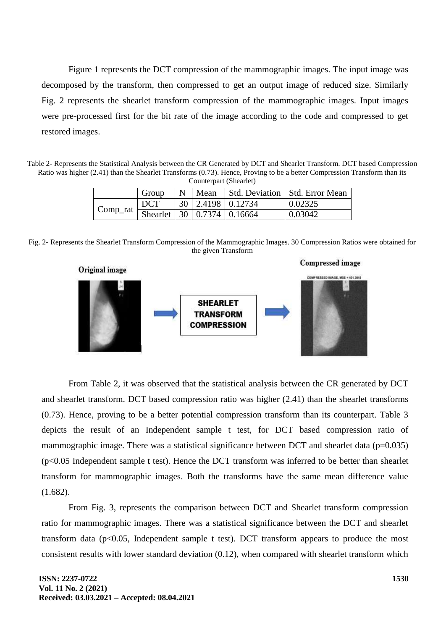Figure 1 represents the DCT compression of the mammographic images. The input image was decomposed by the transform, then compressed to get an output image of reduced size. Similarly Fig. 2 represents the shearlet transform compression of the mammographic images. Input images were pre-processed first for the bit rate of the image according to the code and compressed to get restored images.

Table 2- Represents the Statistical Analysis between the CR Generated by DCT and Shearlet Transform. DCT based Compression Ratio was higher (2.41) than the Shearlet Transforms (0.73). Hence, Proving to be a better Compression Transform than its Counterpart (Shearlet)

|             | Group      |  | $N$   Mean |                            | Std. Deviation   Std. Error Mean |  |  |  |
|-------------|------------|--|------------|----------------------------|----------------------------------|--|--|--|
|             | <b>DCT</b> |  |            | 30   2.4198   0.12734      | 0.02325                          |  |  |  |
| $Comp\_rat$ |            |  |            | Shearlet 30 0.7374 0.16664 | 0.03042                          |  |  |  |

Fig. 2- Represents the Shearlet Transform Compression of the Mammographic Images. 30 Compression Ratios were obtained for the given Transform



From Table 2, it was observed that the statistical analysis between the CR generated by DCT and shearlet transform. DCT based compression ratio was higher (2.41) than the shearlet transforms (0.73). Hence, proving to be a better potential compression transform than its counterpart. Table 3 depicts the result of an Independent sample t test, for DCT based compression ratio of mammographic image. There was a statistical significance between DCT and shearlet data ( $p=0.035$ )  $(p<0.05$  Independent sample t test). Hence the DCT transform was inferred to be better than shearlet transform for mammographic images. Both the transforms have the same mean difference value (1.682).

From Fig. 3, represents the comparison between DCT and Shearlet transform compression ratio for mammographic images. There was a statistical significance between the DCT and shearlet transform data  $(p<0.05$ , Independent sample t test). DCT transform appears to produce the most consistent results with lower standard deviation  $(0.12)$ , when compared with shearlet transform which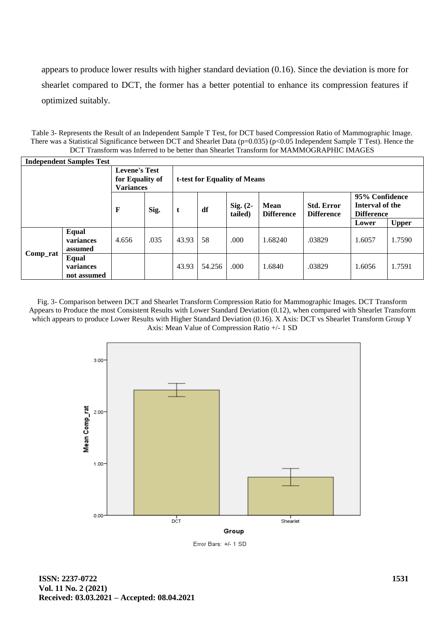appears to produce lower results with higher standard deviation (0.16). Since the deviation is more for shearlet compared to DCT, the former has a better potential to enhance its compression features if optimized suitably.

Table 3- Represents the Result of an Independent Sample T Test, for DCT based Compression Ratio of Mammographic Image. There was a Statistical Significance between DCT and Shearlet Data (p=0.035) (p<0.05 Independent Sample T Test). Hence the DCT Transform was Inferred to be better than Shearlet Transform for MAMMOGRAPHIC IMAGES

| <b>Independent Samples Test</b> |                                   |                                         |      |                                                                                                                                                                          |        |      |         |        |        |              |
|---------------------------------|-----------------------------------|-----------------------------------------|------|--------------------------------------------------------------------------------------------------------------------------------------------------------------------------|--------|------|---------|--------|--------|--------------|
|                                 |                                   | <b>Levene's Test</b><br>for Equality of |      | t-test for Equality of Means                                                                                                                                             |        |      |         |        |        |              |
|                                 |                                   | <b>Variances</b><br>F                   | Sig. | 95% Confidence<br>Interval of the<br>Sig. $(2-$<br><b>Std. Error</b><br><b>Mean</b><br>df<br>t<br><b>Difference</b><br>tailed)<br><b>Difference</b><br><b>Difference</b> |        |      |         |        |        |              |
|                                 |                                   |                                         |      |                                                                                                                                                                          |        |      |         |        | Lower  | <b>Upper</b> |
| Comp_rat                        | Equal<br>variances<br>assumed     | 4.656                                   | .035 | 43.93                                                                                                                                                                    | 58     | .000 | 1.68240 | .03829 | 1.6057 | 1.7590       |
|                                 | Equal<br>variances<br>not assumed |                                         |      | 43.93                                                                                                                                                                    | 54.256 | .000 | 1.6840  | .03829 | 1.6056 | 1.7591       |

Fig. 3- Comparison between DCT and Shearlet Transform Compression Ratio for Mammographic Images. DCT Transform Appears to Produce the most Consistent Results with Lower Standard Deviation (0.12), when compared with Shearlet Transform which appears to produce Lower Results with Higher Standard Deviation (0.16). X Axis: DCT vs Shearlet Transform Group Y Axis: Mean Value of Compression Ratio +/- 1 SD



Error Bars: +/- 1 SD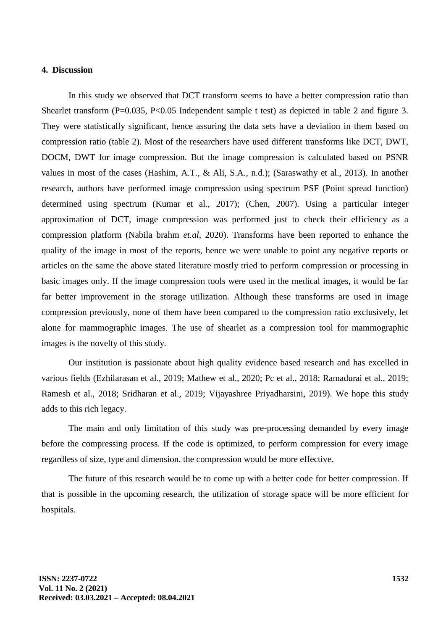## **4. Discussion**

In this study we observed that DCT transform seems to have a better compression ratio than Shearlet transform (P=0.035, P<0.05 Independent sample t test) as depicted in table 2 and figure 3. They were statistically significant, hence assuring the data sets have a deviation in them based on compression ratio (table 2). Most of the researchers have used different transforms like DCT, DWT, DOCM, DWT for image compression. But the image compression is calculated based on PSNR values in most of the cases (Hashim, A.T., & Ali, S.A., n.d.); (Saraswathy et al., 2013). In another research, authors have performed image compression using spectrum PSF (Point spread function) determined using spectrum (Kumar et al., 2017); (Chen, 2007). Using a particular integer approximation of DCT, image compression was performed just to check their efficiency as a compression platform (Nabila brahm *et.al*, 2020). Transforms have been reported to enhance the quality of the image in most of the reports, hence we were unable to point any negative reports or articles on the same the above stated literature mostly tried to perform compression or processing in basic images only. If the image compression tools were used in the medical images, it would be far far better improvement in the storage utilization. Although these transforms are used in image compression previously, none of them have been compared to the compression ratio exclusively, let alone for mammographic images. The use of shearlet as a compression tool for mammographic images is the novelty of this study.

Our institution is passionate about high quality evidence based research and has excelled in various fields (Ezhilarasan et al., 2019; Mathew et al., 2020; Pc et al., 2018; Ramadurai et al., 2019; Ramesh et al., 2018; Sridharan et al., 2019; Vijayashree Priyadharsini, 2019). We hope this study adds to this rich legacy.

The main and only limitation of this study was pre-processing demanded by every image before the compressing process. If the code is optimized, to perform compression for every image regardless of size, type and dimension, the compression would be more effective.

The future of this research would be to come up with a better code for better compression. If that is possible in the upcoming research, the utilization of storage space will be more efficient for hospitals.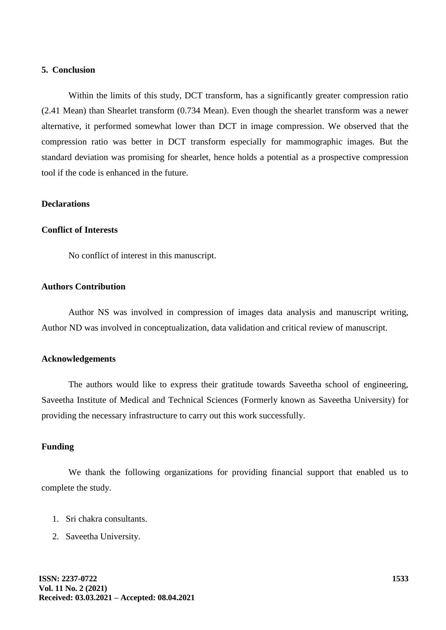## **5. Conclusion**

Within the limits of this study, DCT transform, has a significantly greater compression ratio (2.41 Mean) than Shearlet transform (0.734 Mean). Even though the shearlet transform was a newer alternative, it performed somewhat lower than DCT in image compression. We observed that the compression ratio was better in DCT transform especially for mammographic images. But the standard deviation was promising for shearlet, hence holds a potential as a prospective compression tool if the code is enhanced in the future.

## **Declarations**

### **Conflict of Interests**

No conflict of interest in this manuscript.

## **Authors Contribution**

Author NS was involved in compression of images data analysis and manuscript writing, Author ND was involved in conceptualization, data validation and critical review of manuscript.

#### **Acknowledgements**

The authors would like to express their gratitude towards Saveetha school of engineering, Saveetha Institute of Medical and Technical Sciences (Formerly known as Saveetha University) for providing the necessary infrastructure to carry out this work successfully.

## **Funding**

We thank the following organizations for providing financial support that enabled us to complete the study.

- 1. Sri chakra consultants.
- 2. Saveetha University.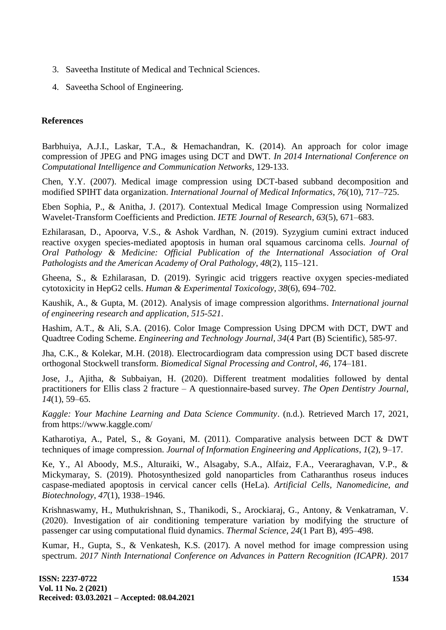- 3. Saveetha Institute of Medical and Technical Sciences.
- 4. Saveetha School of Engineering.

## **References**

Barbhuiya, A.J.I., Laskar, T.A., & Hemachandran, K. (2014). An approach for color image compression of JPEG and PNG images using DCT and DWT. *In 2014 International Conference on Computational Intelligence and Communication Networks,* 129-133.

Chen, Y.Y. (2007). Medical image compression using DCT-based subband decomposition and modified SPIHT data organization. *International Journal of Medical Informatics*, *76*(10), 717–725.

Eben Sophia, P., & Anitha, J. (2017). Contextual Medical Image Compression using Normalized Wavelet-Transform Coefficients and Prediction. *IETE Journal of Research*, *63*(5), 671–683.

Ezhilarasan, D., Apoorva, V.S., & Ashok Vardhan, N. (2019). Syzygium cumini extract induced reactive oxygen species-mediated apoptosis in human oral squamous carcinoma cells. *Journal of Oral Pathology & Medicine: Official Publication of the International Association of Oral Pathologists and the American Academy of Oral Pathology*, *48*(2), 115–121.

Gheena, S., & Ezhilarasan, D. (2019). Syringic acid triggers reactive oxygen species-mediated cytotoxicity in HepG2 cells. *Human & Experimental Toxicology*, *38*(6), 694–702.

Kaushik, A., & Gupta, M. (2012). Analysis of image compression algorithms. *International journal of engineering research and application, 515-521*.

Hashim, A.T., & Ali, S.A. (2016). Color Image Compression Using DPCM with DCT, DWT and Quadtree Coding Scheme. *Engineering and Technology Journal, 34*(4 Part (B) Scientific), 585-97.

Jha, C.K., & Kolekar, M.H. (2018). Electrocardiogram data compression using DCT based discrete orthogonal Stockwell transform. *Biomedical Signal Processing and Control*, *46*, 174–181.

Jose, J., Ajitha, & Subbaiyan, H. (2020). Different treatment modalities followed by dental practitioners for Ellis class 2 fracture – A questionnaire-based survey. *The Open Dentistry Journal*, *14*(1), 59–65.

*Kaggle: Your Machine Learning and Data Science Community*. (n.d.). Retrieved March 17, 2021, from https://www.kaggle.com/

Katharotiya, A., Patel, S., & Goyani, M. (2011). Comparative analysis between DCT & DWT techniques of image compression. *Journal of Information Engineering and Applications*, *1*(2), 9–17.

Ke, Y., Al Aboody, M.S., Alturaiki, W., Alsagaby, S.A., Alfaiz, F.A., Veeraraghavan, V.P., & Mickymaray, S. (2019). Photosynthesized gold nanoparticles from Catharanthus roseus induces caspase-mediated apoptosis in cervical cancer cells (HeLa). *Artificial Cells, Nanomedicine, and Biotechnology*, *47*(1), 1938–1946.

Krishnaswamy, H., Muthukrishnan, S., Thanikodi, S., Arockiaraj, G., Antony, & Venkatraman, V. (2020). Investigation of air conditioning temperature variation by modifying the structure of passenger car using computational fluid dynamics. *Thermal Science*, *24*(1 Part B), 495–498.

Kumar, H., Gupta, S., & Venkatesh, K.S. (2017). A novel method for image compression using spectrum. *2017 Ninth International Conference on Advances in Pattern Recognition (ICAPR)*. 2017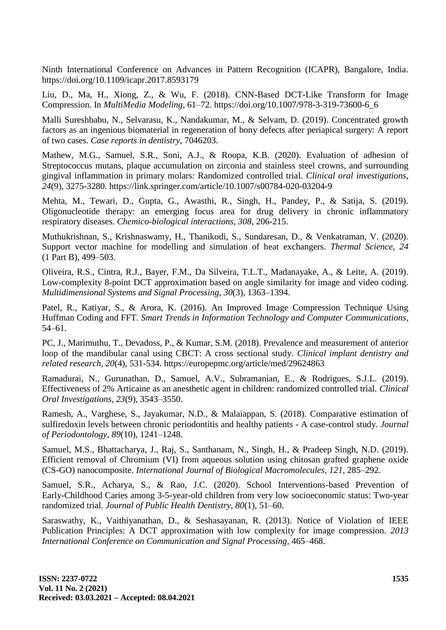Ninth International Conference on Advances in Pattern Recognition (ICAPR), Bangalore, India. https://doi.org/10.1109/icapr.2017.8593179

Liu, D., Ma, H., Xiong, Z., & Wu, F. (2018). CNN-Based DCT-Like Transform for Image Compression. In *MultiMedia Modeling,* 61–72. https://doi.org/10.1007/978-3-319-73600-6\_6

Malli Sureshbabu, N., Selvarasu, K., Nandakumar, M., & Selvam, D. (2019). Concentrated growth factors as an ingenious biomaterial in regeneration of bony defects after periapical surgery: A report of two cases. *Case reports in dentistry,* 7046203.

Mathew, M.G., Samuel, S.R., Soni, A.J., & Roopa, K.B. (2020). Evaluation of adhesion of Streptococcus mutans, plaque accumulation on zirconia and stainless steel crowns, and surrounding gingival inflammation in primary molars: Randomized controlled trial. *Clinical oral investigations, 24*(9), 3275-3280. https://link.springer.com/article/10.1007/s00784-020-03204-9

Mehta, M., Tewari, D., Gupta, G., Awasthi, R., Singh, H., Pandey, P., & Satija, S. (2019). Oligonucleotide therapy: an emerging focus area for drug delivery in chronic inflammatory respiratory diseases. *Chemico-biological interactions, 308,* 206-215.

Muthukrishnan, S., Krishnaswamy, H., Thanikodi, S., Sundaresan, D., & Venkatraman, V. (2020). Support vector machine for modelling and simulation of heat exchangers. *Thermal Science*, *24*  (1 Part B), 499–503.

Oliveira, R.S., Cintra, R.J., Bayer, F.M., Da Silveira, T.L.T., Madanayake, A., & Leite, A. (2019). Low-complexity 8-point DCT approximation based on angle similarity for image and video coding. *Multidimensional Systems and Signal Processing*, *30*(3), 1363–1394.

Patel, R., Katiyar, S., & Arora, K. (2016). An Improved Image Compression Technique Using Huffman Coding and FFT. *Smart Trends in Information Technology and Computer Communications*, 54–61.

PC, J., Marimuthu, T., Devadoss, P., & Kumar, S.M. (2018). Prevalence and measurement of anterior loop of the mandibular canal using CBCT: A cross sectional study. *Clinical implant dentistry and related research, 20*(4), 531-534. https://europepmc.org/article/med/29624863

Ramadurai, N., Gurunathan, D., Samuel, A.V., Subramanian, E., & Rodrigues, S.J.L. (2019). Effectiveness of 2% Articaine as an anesthetic agent in children: randomized controlled trial. *Clinical Oral Investigations*, *23*(9), 3543–3550.

Ramesh, A., Varghese, S., Jayakumar, N.D., & Malaiappan, S. (2018). Comparative estimation of sulfiredoxin levels between chronic periodontitis and healthy patients - A case-control study. *Journal of Periodontology*, *89*(10), 1241–1248.

Samuel, M.S., Bhattacharya, J., Raj, S., Santhanam, N., Singh, H., & Pradeep Singh, N.D. (2019). Efficient removal of Chromium (VI) from aqueous solution using chitosan grafted graphene oxide (CS-GO) nanocomposite. *International Journal of Biological Macromolecules*, *121*, 285–292.

Samuel, S.R., Acharya, S., & Rao, J.C. (2020). School Interventions-based Prevention of Early-Childhood Caries among 3-5-year-old children from very low socioeconomic status: Two-year randomized trial. *Journal of Public Health Dentistry*, *80*(1), 51–60.

Saraswathy, K., Vaithiyanathan, D., & Seshasayanan, R. (2013). Notice of Violation of IEEE Publication Principles: A DCT approximation with low complexity for image compression. *2013 International Conference on Communication and Signal Processing*, 465–468.